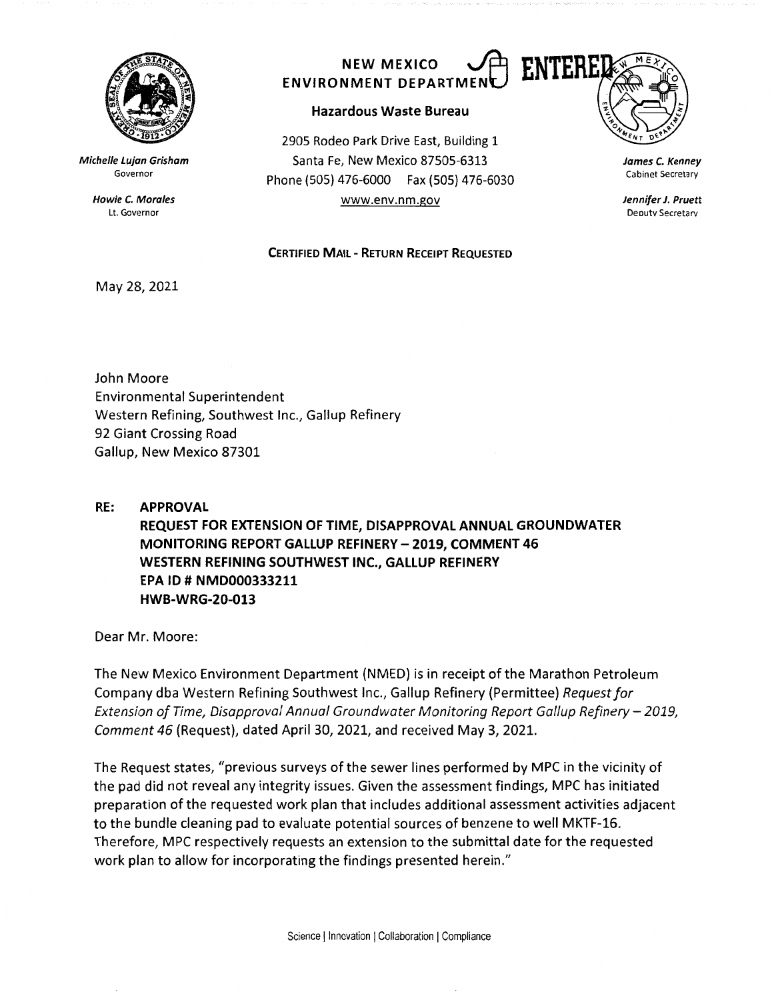

**Michelle Lujan Grisham**  Governor

> **Howie** *C.* **Morales**  Lt. Governor

## **ENVIRONMENT DEPARTMENL**

## **Hazardous Waste Bureau**

2905 Rodeo Park Drive East, Building 1 Santa Fe, New Mexico 87505-6313 Phone (SOS) 476-6000 Fax (505) 476-6030 www.env.nm.gov

**CERTIFIED MAIL** - **RETURN RECEIPT REQUESTED** 



**James** *C.* **Kenney**  Cabinet Secretary

**Jennifer J. Pruett**  Deoutv Secretarv

## May 28, 2021

John Moore Environmental Superintendent Western Refining, Southwest Inc., Gallup Refinery 92 Giant Crossing Road Gallup, New Mexico 87301

**RE: APPROVAL REQUEST FOR EXTENSION OF TIME, DISAPPROVAL ANNUAL GROUNDWATER MONITORING REPORT GALLUP REFINERY - 2019, COMMENT 46 WESTERN REFINING SOUTHWEST INC., GALLUP REFINERY EPA** ID# **NMD000333211 HWB-WRG-20-013** 

Dear Mr. Moore:

The New Mexico Environment Department (NMED) is in receipt of the Marathon Petroleum Company dba Western Refining Southwest Inc., Gallup Refinery (Permittee) *Request for Extension of Time, Disapproval Annual Groundwater Monitoring Report Gallup Refinery – 2019, Comment 46* (Request), dated April 30, 2021, and received May 3, 2021.

The Request states, "previous surveys of the sewer lines performed by MPC in the vicinity of the pad did not reveal any integrity issues. Given the assessment findings, MPC has initiated preparation of the requested work plan that includes additional assessment activities adjacent to the bundle cleaning pad to evaluate potential sources of benzene to well MKTF-16. Therefore, MPC respectively requests an extension to the submittal date for the requested work plan to allow for incorporating the findings presented herein."